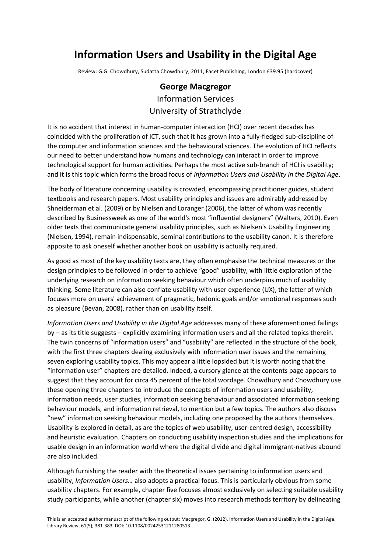## **Information Users and Usability in the Digital Age**

Review: G.G. Chowdhury, Sudatta Chowdhury, 2011, Facet Publishing, London £39.95 (hardcover)

## **George Macgregor** Information Services University of Strathclyde

It is no accident that interest in human-computer interaction (HCI) over recent decades has coincided with the proliferation of ICT, such that it has grown into a fully‐fledged sub‐discipline of the computer and information sciences and the behavioural sciences. The evolution of HCI reflects our need to better understand how humans and technology can interact in order to improve technological support for human activities. Perhaps the most active sub-branch of HCI is usability; and it is this topic which forms the broad focus of *Information Users and Usability in the Digital Age*.

The body of literature concerning usability is crowded, encompassing practitioner guides, student textbooks and research papers. Most usability principles and issues are admirably addressed by Shneiderman et al. (2009) or by Nielsen and Loranger (2006), the latter of whom was recently described by Businessweek as one of the world's most "influential designers" (Walters, 2010). Even older texts that communicate general usability principles, such as Nielsen's Usability Engineering (Nielsen, 1994), remain indispensable, seminal contributions to the usability canon. It is therefore apposite to ask oneself whether another book on usability is actually required.

As good as most of the key usability texts are, they often emphasise the technical measures or the design principles to be followed in order to achieve "good" usability, with little exploration of the underlying research on information seeking behaviour which often underpins much of usability thinking. Some literature can also conflate usability with user experience (UX), the latter of which focuses more on users' achievement of pragmatic, hedonic goals and/or emotional responses such as pleasure (Bevan, 2008), rather than on usability itself.

*Information Users and Usability in the Digital Age* addresses many of these aforementioned failings by – as its title suggests – explicitly examining information users and all the related topics therein. The twin concerns of "information users" and "usability" are reflected in the structure of the book, with the first three chapters dealing exclusively with information user issues and the remaining seven exploring usability topics. This may appear a little lopsided but it is worth noting that the "information user" chapters are detailed. Indeed, a cursory glance at the contents page appears to suggest that they account for circa 45 percent of the total wordage. Chowdhury and Chowdhury use these opening three chapters to introduce the concepts of information users and usability, information needs, user studies, information seeking behaviour and associated information seeking behaviour models, and information retrieval, to mention but a few topics. The authors also discuss "new" information seeking behaviour models, including one proposed by the authors themselves. Usability is explored in detail, as are the topics of web usability, user‐centred design, accessibility and heuristic evaluation. Chapters on conducting usability inspection studies and the implications for usable design in an information world where the digital divide and digital immigrant‐natives abound are also included.

Although furnishing the reader with the theoretical issues pertaining to information users and usability, *Information Users…* also adopts a practical focus. This is particularly obvious from some usability chapters. For example, chapter five focuses almost exclusively on selecting suitable usability study participants, while another (chapter six) moves into research methods territory by delineating